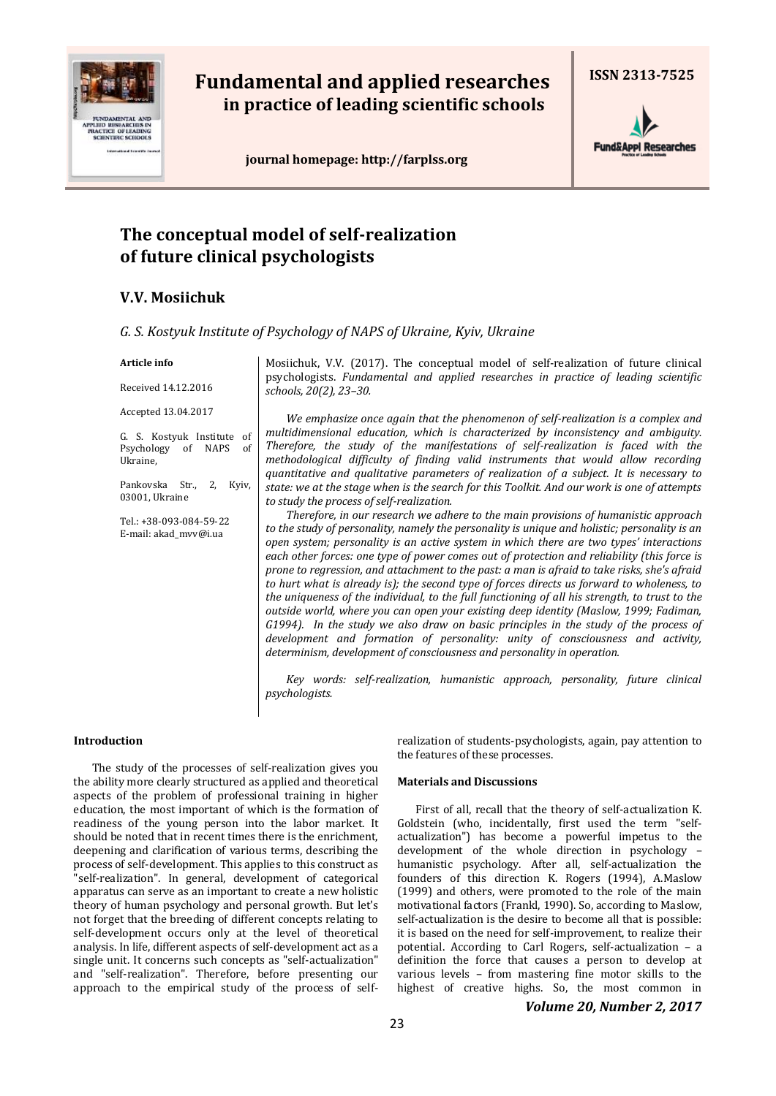

# **Fundamental and applied researches in practice of leading scientific schools**

 **journal homepage[: http://farplss.org](http://farplss.org/)**



## **The conceptual model of self-realization of future clinical psychologists**

## **V.V. Mosiichuk**

| G. S. Kostyuk Institute of Psychology of NAPS of Ukraine, Kyiv, Ukraine |  |
|-------------------------------------------------------------------------|--|
|-------------------------------------------------------------------------|--|

### **Article info**

Received 14.12.2016 Accepted 13.04.2017

G. S. Kostyuk Institute of Psychology of NAPS of Ukraine,

Pankovska Str., 2, Kyiv, 03001, Ukraine

Tel.: +38-093-084-59-22 Е-mail: akad\_mvv@i.ua

Mosiichuk, V.V. (2017). The conceptual model of self-realization of future clinical psychologists. *Fundamental and applied researches in practice of leading scientific schools, 20(2), 23–30.*

*We emphasize once again that the phenomenon of self-realization is a complex and multidimensional education, which is characterized by inconsistency and ambiguity. Therefore, the study of the manifestations of self-realization is faced with the methodological difficulty of finding valid instruments that would allow recording quantitative and qualitative parameters of realization of a subject. It is necessary to state: we at the stage when is the search for this Toolkit. And our work is one of attempts to study the process of self-realization.*

*Therefore, in our research we adhere to the main provisions of humanistic approach to the study of personality, namely the personality is unique and holistic; personality is an open system; personality is an active system in which there are two types' interactions each other forces: one type of power comes out of protection and reliability (this force is prone to regression, and attachment to the past: a man is afraid to take risks, she's afraid to hurt what is already is); the second type of forces directs us forward to wholeness, to the uniqueness of the individual, to the full functioning of all his strength, to trust to the outside world, where you can open your existing deep identity (Maslow, 1999; Fadiman, G1994). In the study we also draw on basic principles in the study of the process of development and formation of personality: unity of consciousness and activity, determinism, development of consciousness and personality in operation.*

*Key words: self-realization, humanistic approach, personality, future clinical psychologists.*

## **Introduction**

The study of the processes of self-realization gives you the ability more clearly structured as applied and theoretical aspects of the problem of professional training in higher education, the most important of which is the formation of readiness of the young person into the labor market. It should be noted that in recent times there is the enrichment, deepening and clarification of various terms, describing the process of self-development. This applies to this construct as "self-realization". In general, development of categorical apparatus can serve as an important to create a new holistic theory of human psychology and personal growth. But let's not forget that the breeding of different concepts relating to self-development occurs only at the level of theoretical analysis. In life, different aspects of self-development act as a single unit. It concerns such concepts as "self-actualization" and "self-realization". Therefore, before presenting our approach to the empirical study of the process of selfrealization of students-psychologists, again, pay attention to the features of these processes.

## **Materials and Discussions**

First of all, recall that the theory of self-actualization K. Goldstein (who, incidentally, first used the term "selfactualization") has become a powerful impetus to the development of the whole direction in psychology – humanistic psychology. After all, self-actualization the founders of this direction K. Rogers (1994), A.Maslow (1999) and others, were promoted to the role of the main motivational factors (Frankl, 1990). So, according to Maslow, self-actualization is the desire to become all that is possible: it is based on the need for self-improvement, to realize their potential. According to Carl Rogers, self-actualization – a definition the force that causes a person to develop at various levels – from mastering fine motor skills to the highest of creative highs. So, the most common in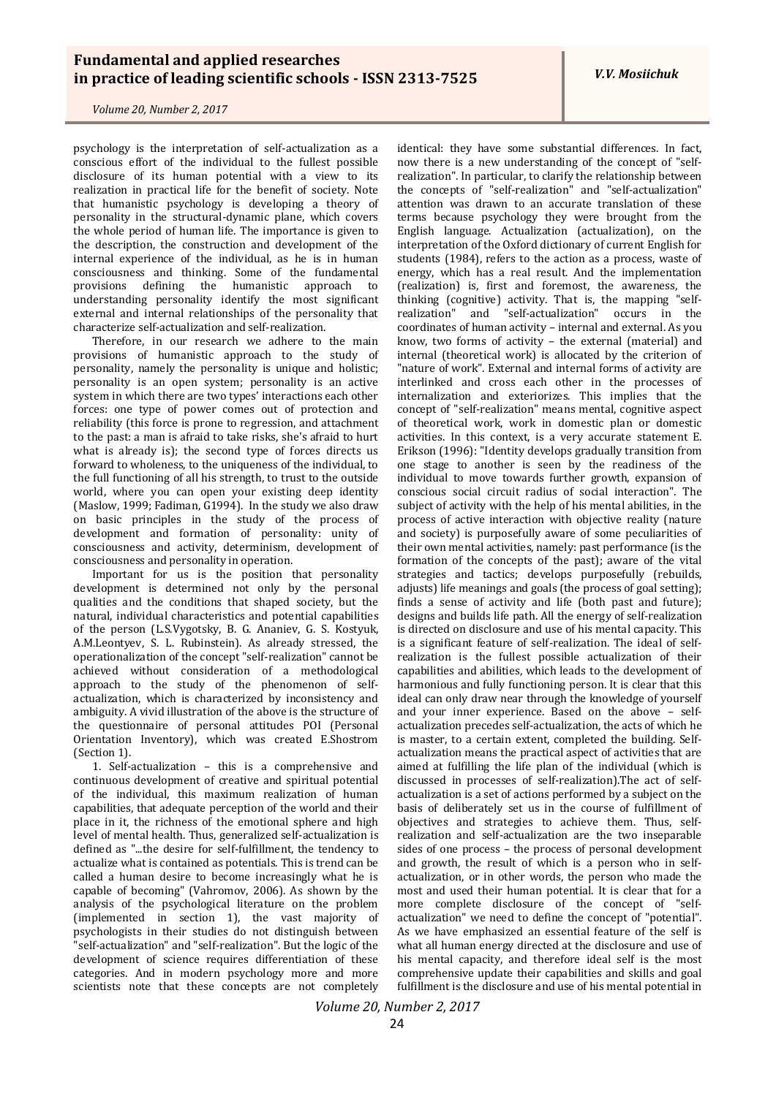*V.V. Mosiichuk*

*Volume 20, Number 2, 2017*

psychology is the interpretation of self-actualization as a conscious effort of the individual to the fullest possible disclosure of its human potential with a view to its realization in practical life for the benefit of society. Note that humanistic psychology is developing a theory of personality in the structural-dynamic plane, which covers the whole period of human life. The importance is given to the description, the construction and development of the internal experience of the individual, as he is in human consciousness and thinking. Some of the fundamental provisions defining the humanistic approach to understanding personality identify the most significant external and internal relationships of the personality that characterize self-actualization and self-realization.

Therefore, in our research we adhere to the main provisions of humanistic approach to the study of personality, namely the personality is unique and holistic; personality is an open system; personality is an active system in which there are two types' interactions each other forces: one type of power comes out of protection and reliability (this force is prone to regression, and attachment to the past: a man is afraid to take risks, she's afraid to hurt what is already is); the second type of forces directs us forward to wholeness, to the uniqueness of the individual, to the full functioning of all his strength, to trust to the outside world, where you can open your existing deep identity (Maslow, 1999; Fadiman, G1994). In the study we also draw on basic principles in the study of the process of development and formation of personality: unity of consciousness and activity, determinism, development of consciousness and personality in operation.

Important for us is the position that personality development is determined not only by the personal qualities and the conditions that shaped society, but the natural, individual characteristics and potential capabilities of the person (L.S.Vygotsky, B. G. Ananiev, G. S. Kostyuk, A.M.Leontyev, S. L. Rubinstein). As already stressed, the operationalization of the concept "self-realization" cannot be achieved without consideration of a methodological approach to the study of the phenomenon of selfactualization, which is characterized by inconsistency and ambiguity. A vivid illustration of the above is the structure of the questionnaire of personal attitudes POI (Personal Orientation Inventory), which was created E.Shostrom (Section 1).

1. Self-actualization – this is a comprehensive and continuous development of creative and spiritual potential of the individual, this maximum realization of human capabilities, that adequate perception of the world and their place in it, the richness of the emotional sphere and high level of mental health. Thus, generalized self-actualization is defined as "...the desire for self-fulfillment, the tendency to actualize what is contained as potentials. This is trend can be called a human desire to become increasingly what he is capable of becoming" (Vahromov, 2006). As shown by the analysis of the psychological literature on the problem (implemented in section 1), the vast majority of psychologists in their studies do not distinguish between "self-actualization" and "self-realization". But the logic of the development of science requires differentiation of these categories. And in modern psychology more and more scientists note that these concepts are not completely

identical: they have some substantial differences. In fact, now there is a new understanding of the concept of "selfrealization". In particular, to clarify the relationship between the concepts of "self-realization" and "self-actualization" attention was drawn to an accurate translation of these terms because psychology they were brought from the English language. Actualization (асtualization), on the interpretation of the Oxford dictionary of current English for students (1984), refers to the action as a process, waste of energy, which has a real result. And the implementation (realization) is, first and foremost, the awareness, the thinking (cognitive) activity. That is, the mapping "selfrealization" and "self-actualization" occurs in the coordinates of human activity – internal and external. As you know, two forms of activity – the external (material) and internal (theoretical work) is allocated by the criterion of "nature of work". External and internal forms of activity are interlinked and cross each other in the processes of internalization and exteriorizes. This implies that the concept of "self-realization" means mental, cognitive aspect of theoretical work, work in domestic plan or domestic activities. In this context, is a very accurate statement E. Erikson (1996): "Identity develops gradually transition from one stage to another is seen by the readiness of the individual to move towards further growth, expansion of conscious social circuit radius of social interaction". The subject of activity with the help of his mental abilities, in the process of active interaction with objective reality (nature and society) is purposefully aware of some peculiarities of their own mental activities, namely: past performance (is the formation of the concepts of the past); aware of the vital strategies and tactics; develops purposefully (rebuilds, adjusts) life meanings and goals (the process of goal setting); finds a sense of activity and life (both past and future); designs and builds life path. All the energy of self-realization is directed on disclosure and use of his mental capacity. This is a significant feature of self-realization. The ideal of selfrealization is the fullest possible actualization of their capabilities and abilities, which leads to the development of harmonious and fully functioning person. It is clear that this ideal can only draw near through the knowledge of yourself and your inner experience. Based on the above – selfactualization precedes self-actualization, the acts of which he is master, to a certain extent, completed the building. Selfactualization means the practical aspect of activities that are aimed at fulfilling the life plan of the individual (which is discussed in processes of self-realization).The act of selfactualization is a set of actions performed by a subject on the basis of deliberately set us in the course of fulfillment of objectives and strategies to achieve them. Thus, selfrealization and self-actualization are the two inseparable sides of one process – the process of personal development and growth, the result of which is a person who in selfactualization, or in other words, the person who made the most and used their human potential. It is clear that for a more complete disclosure of the concept of "selfactualization" we need to define the concept of "potential". As we have emphasized an essential feature of the self is what all human energy directed at the disclosure and use of his mental capacity, and therefore ideal self is the most comprehensive update their capabilities and skills and goal fulfillment is the disclosure and use of his mental potential in

*Volume 20, Number 2, 2017*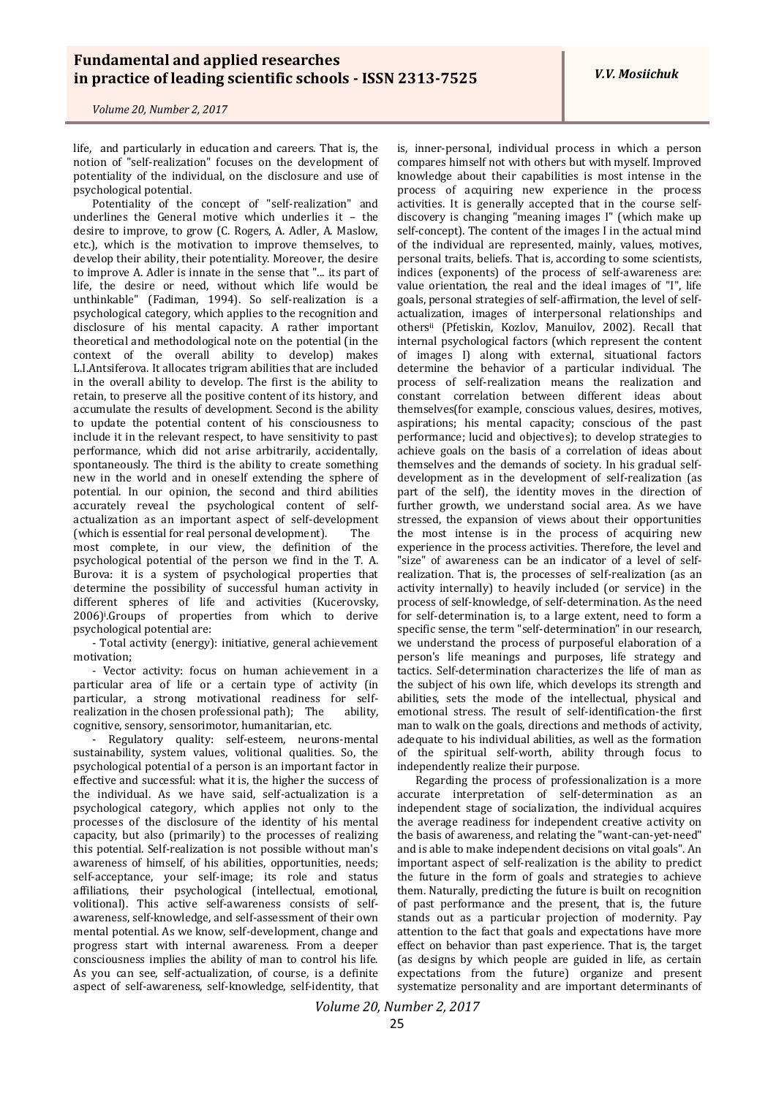*V.V. Mosiichuk*

*Volume 20, Number 2, 2017*

life, and particularly in education and careers. That is, the notion of "self-realization" focuses on the development of potentiality of the individual, on the disclosure and use of psychological potential.

Potentiality of the concept of "self-realization" and underlines the General motive which underlies it – the desire to improve, to grow (C. Rogers, A. Adler, A. Maslow, etc.), which is the motivation to improve themselves, to develop their ability, their potentiality. Moreover, the desire to improve A. Adler is innate in the sense that "... its part of life, the desire or need, without which life would be unthinkable" (Fadiman, 1994). So self-realization is a psychological category, which applies to the recognition and disclosure of his mental capacity. A rather important theoretical and methodological note on the potential (in the context of the overall ability to develop) makes L.I.Antsiferova. It allocates trigram abilities that are included in the overall ability to develop. The first is the ability to retain, to preserve all the positive content of its history, and accumulate the results of development. Second is the ability to update the potential content of his consciousness to include it in the relevant respect, to have sensitivity to past performance, which did not arise arbitrarily, accidentally, spontaneously. The third is the ability to create something new in the world and in oneself extending the sphere of potential. In our opinion, the second and third abilities accurately reveal the psychological content of selfactualization as an important aspect of self-development (which is essential for real personal development). The most complete, in our view, the definition of the psychological potential of the person we find in the T. A. Burova: it is a system of psychological properties that determine the possibility of successful human activity in different spheres of life and activities (Kucerovsky, 2006)<sup>i</sup> .Groups of properties from which to derive psychological potential are:

- Total activity (energy): initiative, general achievement motivation;

- Vector activity: focus on human achievement in a particular area of life or a certain type of activity (in particular, a strong motivational readiness for selfrealization in the chosen professional path); The ability, cognitive, sensory, sensorimotor, humanitarian, etc.

- Regulatory quality: self-esteem, neurons-mental sustainability, system values, volitional qualities. So, the psychological potential of a person is an important factor in effective and successful: what it is, the higher the success of the individual. As we have said, self-actualization is a psychological category, which applies not only to the processes of the disclosure of the identity of his mental capacity, but also (primarily) to the processes of realizing this potential. Self-realization is not possible without man's awareness of himself, of his abilities, opportunities, needs; self-acceptance, your self-image; its role and status affiliations, their psychological (intellectual, emotional, volitional). This active self-awareness consists of selfawareness, self-knowledge, and self-assessment of their own mental potential. As we know, self-development, change and progress start with internal awareness. From a deeper consciousness implies the ability of man to control his life. As you can see, self-actualization, of course, is a definite aspect of self-awareness, self-knowledge, self-identity, that

is, inner-personal, individual process in which a person compares himself not with others but with myself. Improved knowledge about their capabilities is most intense in the process of acquiring new experience in the process activities. It is generally accepted that in the course selfdiscovery is changing "meaning images I" (which make up self-concept). The content of the images I in the actual mind of the individual are represented, mainly, values, motives, personal traits, beliefs. That is, according to some scientists, indices (exponents) of the process of self-awareness are: value orientation, the real and the ideal images of "I", life goals, personal strategies of self-affirmation, the level of selfactualization, images of interpersonal relationships and othersii (Pfetiskin, Kozlov, Manuilov, 2002). Recall that internal psychological factors (which represent the content of images I) along with external, situational factors determine the behavior of a particular individual. The process of self-realization means the realization and constant correlation between different ideas about themselves(for example, conscious values, desires, motives, aspirations; his mental capacity; conscious of the past performance; lucid and objectives); to develop strategies to achieve goals on the basis of a correlation of ideas about themselves and the demands of society. In his gradual selfdevelopment as in the development of self-realization (as part of the self), the identity moves in the direction of further growth, we understand social area. As we have stressed, the expansion of views about their opportunities the most intense is in the process of acquiring new experience in the process activities. Therefore, the level and "size" of awareness can be an indicator of a level of selfrealization. That is, the processes of self-realization (as an activity internally) to heavily included (or service) in the process of self-knowledge, of self-determination. As the need for self-determination is, to a large extent, need to form a specific sense, the term "self-determination" in our research, we understand the process of purposeful elaboration of a person's life meanings and purposes, life strategy and tactics. Self-determination characterizes the life of man as the subject of his own life, which develops its strength and abilities, sets the mode of the intellectual, physical and emotional stress. The result of self-identification-the first man to walk on the goals, directions and methods of activity, adequate to his individual abilities, as well as the formation of the spiritual self-worth, ability through focus to independently realize their purpose.

Regarding the process of professionalization is a more accurate interpretation of self-determination as an independent stage of socialization, the individual acquires the average readiness for independent creative activity on the basis of awareness, and relating the "want-can-yet-need" and is able to make independent decisions on vital goals". An important aspect of self-realization is the ability to predict the future in the form of goals and strategies to achieve them. Naturally, predicting the future is built on recognition of past performance and the present, that is, the future stands out as a particular projection of modernity. Pay attention to the fact that goals and expectations have more effect on behavior than past experience. That is, the target (as designs by which people are guided in life, as certain expectations from the future) organize and present systematize personality and are important determinants of

*Volume 20, Number 2, 2017*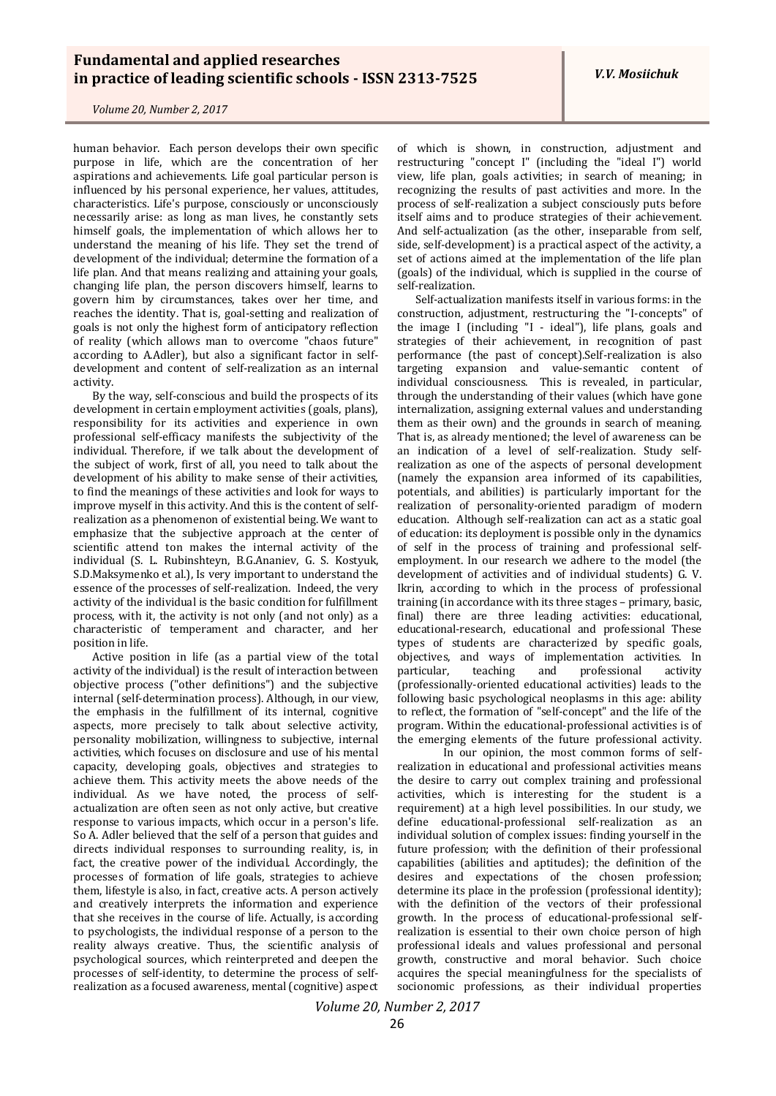human behavior. Each person develops their own specific purpose in life, which are the concentration of her aspirations and achievements. Life goal particular person is influenced by his personal experience, her values, attitudes, characteristics. Life's purpose, consciously or unconsciously necessarily arise: as long as man lives, he constantly sets himself goals, the implementation of which allows her to understand the meaning of his life. They set the trend of development of the individual; determine the formation of a life plan. And that means realizing and attaining your goals, changing life plan, the person discovers himself, learns to govern him by circumstances, takes over her time, and reaches the identity. That is, goal-setting and realization of goals is not only the highest form of anticipatory reflection of reality (which allows man to overcome "chaos future" according to A.Adler), but also a significant factor in selfdevelopment and content of self-realization as an internal activity.

By the way, self-conscious and build the prospects of its development in certain employment activities (goals, plans), responsibility for its activities and experience in own professional self-efficacy manifests the subjectivity of the individual. Therefore, if we talk about the development of the subject of work, first of all, you need to talk about the development of his ability to make sense of their activities, to find the meanings of these activities and look for ways to improve myself in this activity. And this is the content of selfrealization as a phenomenon of existential being. We want to emphasize that the subjective approach at the center of scientific attend ton makes the internal activity of the individual (S. L. Rubinshteyn, B.G.Ananiev, G. S. Kostyuk, S.D.Maksymenko et al.), Is very important to understand the essence of the processes of self-realization. Indeed, the very activity of the individual is the basic condition for fulfillment process, with it, the activity is not only (and not only) as a characteristic of temperament and character, and her position in life.

Active position in life (as a partial view of the total activity of the individual) is the result of interaction between objective process ("other definitions") and the subjective internal (self-determination process). Although, in our view, the emphasis in the fulfillment of its internal, cognitive aspects, more precisely to talk about selective activity, personality mobilization, willingness to subjective, internal activities, which focuses on disclosure and use of his mental capacity, developing goals, objectives and strategies to achieve them. This activity meets the above needs of the individual. As we have noted, the process of selfactualization are often seen as not only active, but creative response to various impacts, which occur in a person's life. So A. Adler believed that the self of a person that guides and directs individual responses to surrounding reality, is, in fact, the creative power of the individual. Accordingly, the processes of formation of life goals, strategies to achieve them, lifestyle is also, in fact, creative acts. A person actively and creatively interprets the information and experience that she receives in the course of life. Actually, is according to psychologists, the individual response of a person to the reality always creative. Thus, the scientific analysis of psychological sources, which reinterpreted and deepen the processes of self-identity, to determine the process of selfrealization as a focused awareness, mental (cognitive) aspect

of which is shown, in construction, adjustment and restructuring "concept I" (including the "ideal I") world view, life plan, goals activities; in search of meaning; in recognizing the results of past activities and more. In the process of self-realization a subject consciously puts before itself aims and to produce strategies of their achievement. And self-actualization (as the other, inseparable from self, side, self-development) is a practical aspect of the activity, a set of actions aimed at the implementation of the life plan (goals) of the individual, which is supplied in the course of self-realization.

Self-actualization manifests itself in various forms: in the construction, adjustment, restructuring the "I-concepts" of the image I (including "I - ideal"), life plans, goals and strategies of their achievement, in recognition of past performance (the past of concept).Self-realization is also targeting expansion and value-semantic content of individual consciousness. This is revealed, in particular, through the understanding of their values (which have gone internalization, assigning external values and understanding them as their own) and the grounds in search of meaning. That is, as already mentioned; the level of awareness can be an indication of a level of self-realization. Study selfrealization as one of the aspects of personal development (namely the expansion area informed of its capabilities, potentials, and abilities) is particularly important for the realization of personality-oriented paradigm of modern education. Although self-realization can act as a static goal of education: its deployment is possible only in the dynamics of self in the process of training and professional selfemployment. In our research we adhere to the model (the development of activities and of individual students) G. V. Ikrin, according to which in the process of professional training (in accordance with its three stages – primary, basic, final) there are three leading activities: educational, educational-research, educational and professional These types of students are characterized by specific goals, objectives, and ways of implementation activities. In particular, teaching and professional activity particular, teaching and professional activity (professionally-oriented educational activities) leads to the following basic psychological neoplasms in this age: ability to reflect, the formation of "self-concept" and the life of the program. Within the educational-professional activities is of the emerging elements of the future professional activity.

In our opinion, the most common forms of selfrealization in educational and professional activities means the desire to carry out complex training and professional activities, which is interesting for the student is a requirement) at a high level possibilities. In our study, we define educational-professional self-realization as an individual solution of complex issues: finding yourself in the future profession; with the definition of their professional capabilities (abilities and aptitudes); the definition of the desires and expectations of the chosen profession; determine its place in the profession (professional identity); with the definition of the vectors of their professional growth. In the process of educational-professional selfrealization is essential to their own choice person of high professional ideals and values professional and personal growth, constructive and moral behavior. Such choice acquires the special meaningfulness for the specialists of socionomic professions, as their individual properties

*Volume 20, Number 2, 2017*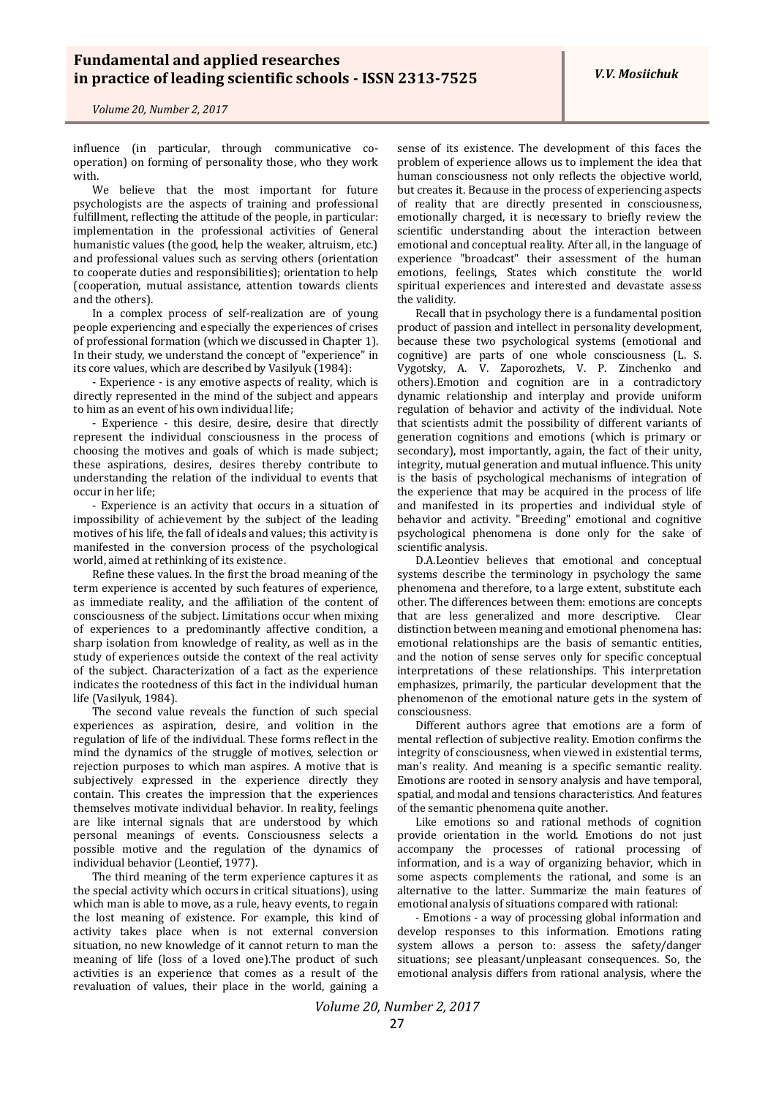*V.V. Mosiichuk*

*Volume 20, Number 2, 2017*

influence (in particular, through communicative cooperation) on forming of personality those, who they work with.

We believe that the most important for future psychologists are the aspects of training and professional fulfillment, reflecting the attitude of the people, in particular: implementation in the professional activities of General humanistic values (the good, help the weaker, altruism, etc.) and professional values such as serving others (orientation to cooperate duties and responsibilities); orientation to help (cooperation, mutual assistance, attention towards clients and the others).

In a complex process of self-realization are of young people experiencing and especially the experiences of crises of professional formation (which we discussed in Chapter 1). In their study, we understand the concept of "experience" in its core values, which are described by Vasilyuk (1984):

- Experience - is any emotive aspects of reality, which is directly represented in the mind of the subject and appears to him as an event of his own individual life;

- Experience - this desire, desire, desire that directly represent the individual consciousness in the process of choosing the motives and goals of which is made subject; these aspirations, desires, desires thereby contribute to understanding the relation of the individual to events that occur in her life;

- Experience is an activity that occurs in a situation of impossibility of achievement by the subject of the leading motives of his life, the fall of ideals and values; this activity is manifested in the conversion process of the psychological world, aimed at rethinking of its existence.

Refine these values. In the first the broad meaning of the term experience is accented by such features of experience, as immediate reality, and the affiliation of the content of consciousness of the subject. Limitations occur when mixing of experiences to a predominantly affective condition, a sharp isolation from knowledge of reality, as well as in the study of experiences outside the context of the real activity of the subject. Characterization of a fact as the experience indicates the rootedness of this fact in the individual human life (Vasilyuk, 1984).

The second value reveals the function of such special experiences as aspiration, desire, and volition in the regulation of life of the individual. These forms reflect in the mind the dynamics of the struggle of motives, selection or rejection purposes to which man aspires. A motive that is subjectively expressed in the experience directly they contain. This creates the impression that the experiences themselves motivate individual behavior. In reality, feelings are like internal signals that are understood by which personal meanings of events. Consciousness selects a possible motive and the regulation of the dynamics of individual behavior (Leontief, 1977).

The third meaning of the term experience captures it as the special activity which occurs in critical situations), using which man is able to move, as a rule, heavy events, to regain the lost meaning of existence. For example, this kind of activity takes place when is not external conversion situation, no new knowledge of it cannot return to man the meaning of life (loss of a loved one).The product of such activities is an experience that comes as a result of the revaluation of values, their place in the world, gaining a

sense of its existence. The development of this faces the problem of experience allows us to implement the idea that human consciousness not only reflects the objective world, but creates it. Because in the process of experiencing aspects of reality that are directly presented in consciousness, emotionally charged, it is necessary to briefly review the scientific understanding about the interaction between emotional and conceptual reality. After all, in the language of experience "broadcast" their assessment of the human emotions, feelings, States which constitute the world spiritual experiences and interested and devastate assess the validity.

Recall that in psychology there is a fundamental position product of passion and intellect in personality development, because these two psychological systems (emotional and cognitive) are parts of one whole consciousness (L. S. Vygotsky, A. V. Zaporozhets, V. P. Zinchenko and others).Emotion and cognition are in a contradictory dynamic relationship and interplay and provide uniform regulation of behavior and activity of the individual. Note that scientists admit the possibility of different variants of generation cognitions and emotions (which is primary or secondary), most importantly, again, the fact of their unity, integrity, mutual generation and mutual influence. This unity is the basis of psychological mechanisms of integration of the experience that may be acquired in the process of life and manifested in its properties and individual style of behavior and activity. "Breeding" emotional and cognitive psychological phenomena is done only for the sake of scientific analysis.

D.A.Leontiev believes that emotional and conceptual systems describe the terminology in psychology the same phenomena and therefore, to a large extent, substitute each other. The differences between them: emotions are concepts that are less generalized and more descriptive. Clear distinction between meaning and emotional phenomena has: emotional relationships are the basis of semantic entities, and the notion of sense serves only for specific conceptual interpretations of these relationships. This interpretation emphasizes, primarily, the particular development that the phenomenon of the emotional nature gets in the system of consciousness.

Different authors agree that emotions are a form of mental reflection of subjective reality. Emotion confirms the integrity of consciousness, when viewed in existential terms, man's reality. And meaning is a specific semantic reality. Emotions are rooted in sensory analysis and have temporal, spatial, and modal and tensions characteristics. And features of the semantic phenomena quite another.

Like emotions so and rational methods of cognition provide orientation in the world. Emotions do not just accompany the processes of rational processing of information, and is a way of organizing behavior, which in some aspects complements the rational, and some is an alternative to the latter. Summarize the main features of emotional analysis of situations compared with rational:

- Emotions - a way of processing global information and develop responses to this information. Emotions rating system allows a person to: assess the safety/danger situations; see pleasant/unpleasant consequences. So, the emotional analysis differs from rational analysis, where the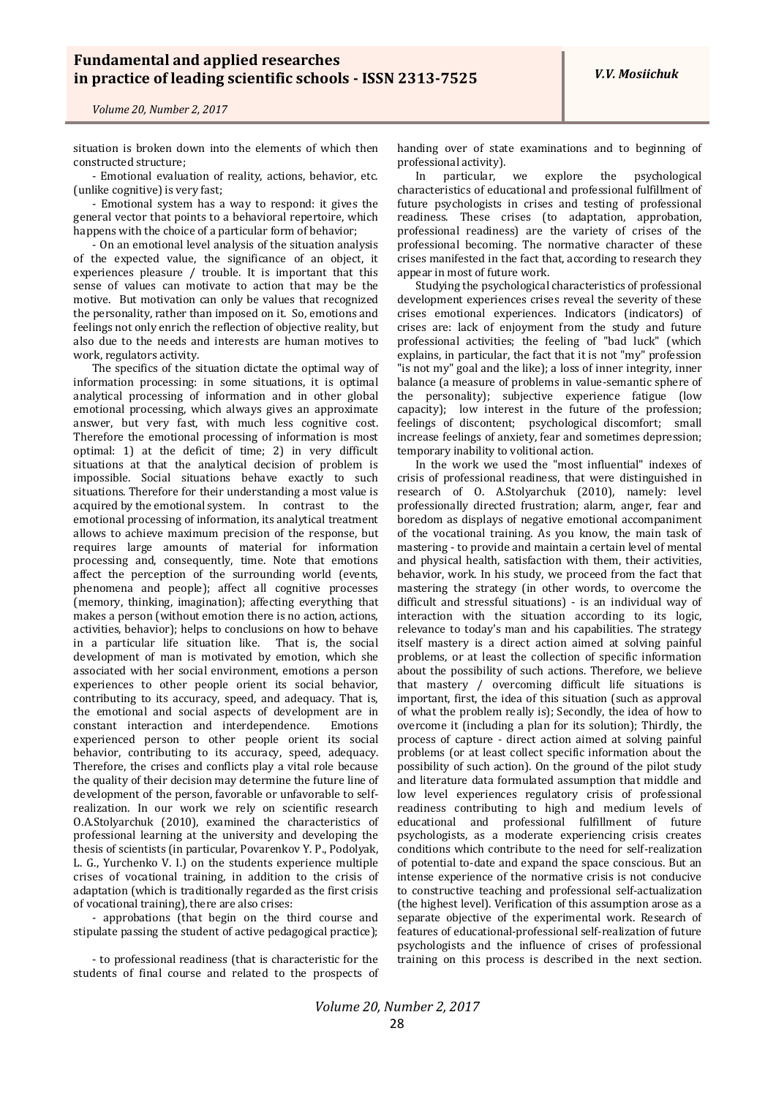situation is broken down into the elements of which then constructed structure;

- Emotional evaluation of reality, actions, behavior, etc. (unlike cognitive) is very fast;

- Emotional system has a way to respond: it gives the general vector that points to a behavioral repertoire, which happens with the choice of a particular form of behavior;

- On an emotional level analysis of the situation analysis of the expected value, the significance of an object, it experiences pleasure / trouble. It is important that this sense of values can motivate to action that may be the motive. But motivation can only be values that recognized the personality, rather than imposed on it. So, emotions and feelings not only enrich the reflection of objective reality, but also due to the needs and interests are human motives to work, regulators activity.

The specifics of the situation dictate the optimal way of information processing: in some situations, it is optimal analytical processing of information and in other global emotional processing, which always gives an approximate answer, but very fast, with much less cognitive cost. Therefore the emotional processing of information is most optimal: 1) at the deficit of time; 2) in very difficult situations at that the analytical decision of problem is impossible. Social situations behave exactly to such situations. Therefore for their understanding a most value is acquired by the emotional system. In contrast to the emotional processing of information, its analytical treatment allows to achieve maximum precision of the response, but requires large amounts of material for information processing and, consequently, time. Note that emotions affect the perception of the surrounding world (events, phenomena and people); affect all cognitive processes (memory, thinking, imagination); affecting everything that makes a person (without emotion there is no action, actions, activities, behavior); helps to conclusions on how to behave in a particular life situation like. That is, the social development of man is motivated by emotion, which she associated with her social environment, emotions a person experiences to other people orient its social behavior, contributing to its accuracy, speed, and adequacy. That is, the emotional and social aspects of development are in constant interaction and interdependence. Emotions experienced person to other people orient its social behavior, contributing to its accuracy, speed, adequacy. Therefore, the crises and conflicts play a vital role because the quality of their decision may determine the future line of development of the person, favorable or unfavorable to selfrealization. In our work we rely on scientific research O.A.Stolyarchuk (2010), examined the characteristics of professional learning at the university and developing the thesis of scientists (in particular, Povarenkov Y. P., Podolyak, L. G., Yurchenko V. I.) on the students experience multiple crises of vocational training, in addition to the crisis of adaptation (which is traditionally regarded as the first crisis of vocational training), there are also crises:

- approbations (that begin on the third course and stipulate passing the student of active pedagogical practice);

- to professional readiness (that is characteristic for the students of final course and related to the prospects of handing over of state examinations and to beginning of professional activity).

In particular, we explore the psychological characteristics of educational and professional fulfillment of future psychologists in crises and testing of professional readiness. These crises (to adaptation, approbation, professional readiness) are the variety of crises of the professional becoming. The normative character of these crises manifested in the fact that, according to research they appear in most of future work.

Studying the psychological characteristics of professional development experiences crises reveal the severity of these crises emotional experiences. Indicators (indicators) of crises are: lack of enjoyment from the study and future professional activities; the feeling of "bad luck" (which explains, in particular, the fact that it is not "my" profession "is not my" goal and the like); a loss of inner integrity, inner balance (a measure of problems in value-semantic sphere of the personality); subjective experience fatigue (low capacity); low interest in the future of the profession; feelings of discontent; psychological discomfort; small increase feelings of anxiety, fear and sometimes depression; temporary inability to volitional action.

In the work we used the "most influential" indexes of crisis of professional readiness, that were distinguished in research of O. A.Stolyarchuk (2010), namely: level professionally directed frustration; alarm, anger, fear and boredom as displays of negative emotional accompaniment of the vocational training. As you know, the main task of mastering - to provide and maintain a certain level of mental and physical health, satisfaction with them, their activities, behavior, work. In his study, we proceed from the fact that mastering the strategy (in other words, to overcome the difficult and stressful situations) - is an individual way of interaction with the situation according to its logic, relevance to today's man and his capabilities. The strategy itself mastery is a direct action aimed at solving painful problems, or at least the collection of specific information about the possibility of such actions. Therefore, we believe that mastery / overcoming difficult life situations is important, first, the idea of this situation (such as approval of what the problem really is); Secondly, the idea of how to overcome it (including a plan for its solution); Thirdly, the process of capture - direct action aimed at solving painful problems (or at least collect specific information about the possibility of such action). On the ground of the pilot study and literature data formulated assumption that middle and low level experiences regulatory crisis of professional readiness contributing to high and medium levels of educational and professional fulfillment of future psychologists, as a moderate experiencing crisis creates conditions which contribute to the need for self-realization of potential to-date and expand the space conscious. But an intense experience of the normative crisis is not conducive to constructive teaching and professional self-actualization (the highest level). Verification of this assumption arose as a separate objective of the experimental work. Research of features of educational-professional self-realization of future psychologists and the influence of crises of professional training on this process is described in the next section.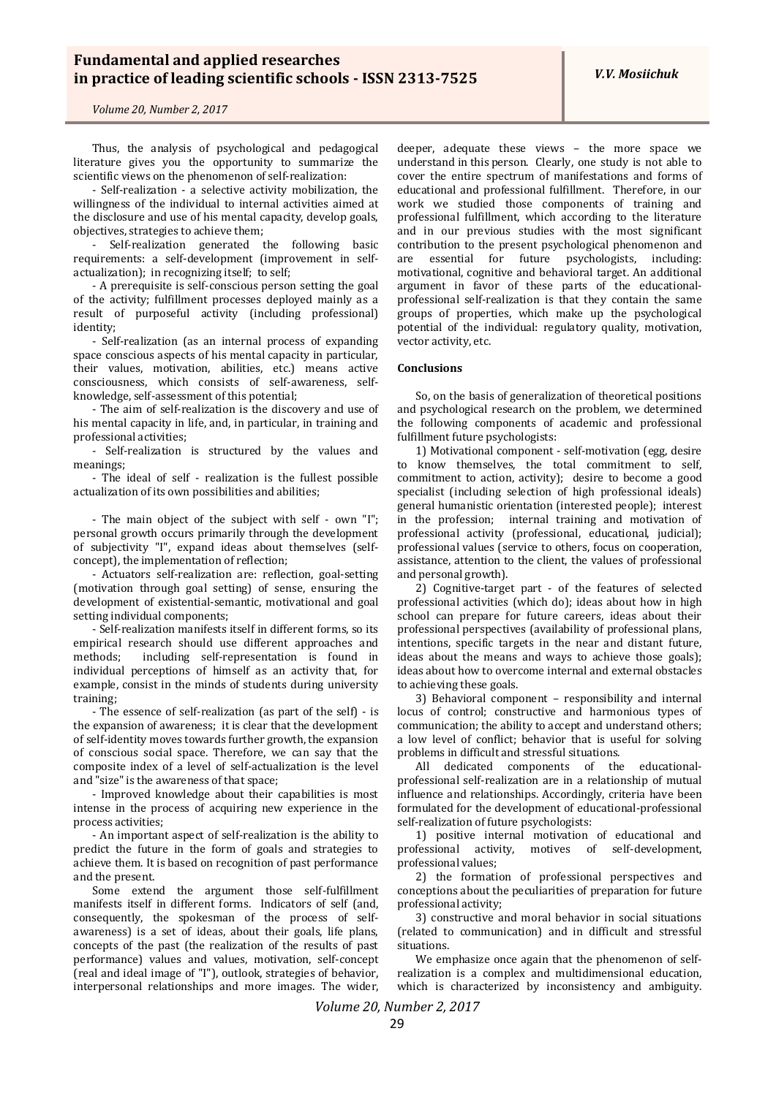Thus, the analysis of psychological and pedagogical literature gives you the opportunity to summarize the scientific views on the phenomenon of self-realization:

- Self-realization - a selective activity mobilization, the willingness of the individual to internal activities aimed at the disclosure and use of his mental capacity, develop goals, objectives, strategies to achieve them;

- Self-realization generated the following basic requirements: a self-development (improvement in selfactualization); in recognizing itself; to self;

- A prerequisite is self-conscious person setting the goal of the activity; fulfillment processes deployed mainly as a result of purposeful activity (including professional) identity;

- Self-realization (as an internal process of expanding space conscious aspects of his mental capacity in particular, their values, motivation, abilities, etc.) means active consciousness, which consists of self-awareness, selfknowledge, self-assessment of this potential;

- The aim of self-realization is the discovery and use of his mental capacity in life, and, in particular, in training and professional activities;

- Self-realization is structured by the values and meanings;

- The ideal of self - realization is the fullest possible actualization of its own possibilities and abilities;

- The main object of the subject with self - own "I"; personal growth occurs primarily through the development of subjectivity "I", expand ideas about themselves (selfconcept), the implementation of reflection;

- Actuators self-realization are: reflection, goal-setting (motivation through goal setting) of sense, ensuring the development of existential-semantic, motivational and goal setting individual components;

- Self-realization manifests itself in different forms, so its empirical research should use different approaches and methods; including self-representation is found in individual perceptions of himself as an activity that, for example, consist in the minds of students during university training;

- The essence of self-realization (as part of the self) - is the expansion of awareness; it is clear that the development of self-identity moves towards further growth, the expansion of conscious social space. Therefore, we can say that the composite index of a level of self-actualization is the level and "size" is the awareness of that space;

- Improved knowledge about their capabilities is most intense in the process of acquiring new experience in the process activities;

- An important aspect of self-realization is the ability to predict the future in the form of goals and strategies to achieve them. It is based on recognition of past performance and the present.

Some extend the argument those self-fulfillment manifests itself in different forms. Indicators of self (and, consequently, the spokesman of the process of selfawareness) is a set of ideas, about their goals, life plans, concepts of the past (the realization of the results of past performance) values and values, motivation, self-concept (real and ideal image of "I"), outlook, strategies of behavior, interpersonal relationships and more images. The wider,

deeper, adequate these views – the more space we understand in this person. Clearly, one study is not able to cover the entire spectrum of manifestations and forms of educational and professional fulfillment. Therefore, in our work we studied those components of training and professional fulfillment, which according to the literature and in our previous studies with the most significant contribution to the present psychological phenomenon and are essential for future psychologists, including: motivational, cognitive and behavioral target. An additional argument in favor of these parts of the educationalprofessional self-realization is that they contain the same groups of properties, which make up the psychological potential of the individual: regulatory quality, motivation, vector activity, etc.

### **Conclusions**

So, on the basis of generalization of theoretical positions and psychological research on the problem, we determined the following components of academic and professional fulfillment future psychologists:

1) Motivational component - self-motivation (egg, desire to know themselves, the total commitment to self, commitment to action, activity); desire to become a good specialist (including selection of high professional ideals) general humanistic orientation (interested people); interest in the profession; internal training and motivation of professional activity (professional, educational, judicial); professional values (service to others, focus on cooperation, assistance, attention to the client, the values of professional and personal growth).

2) Cognitive-target part - of the features of selected professional activities (which do); ideas about how in high school can prepare for future careers, ideas about their professional perspectives (availability of professional plans, intentions, specific targets in the near and distant future, ideas about the means and ways to achieve those goals); ideas about how to overcome internal and external obstacles to achieving these goals.

3) Behavioral component – responsibility and internal locus of control; constructive and harmonious types of communication; the ability to accept and understand others; a low level of conflict; behavior that is useful for solving problems in difficult and stressful situations.

All dedicated components of the educationalprofessional self-realization are in a relationship of mutual influence and relationships. Accordingly, criteria have been formulated for the development of educational-professional self-realization of future psychologists:

1) positive internal motivation of educational and professional activity, motives of self-development, professional values;

2) the formation of professional perspectives and conceptions about the peculiarities of preparation for future professional activity;

3) constructive and moral behavior in social situations (related to communication) and in difficult and stressful situations.

We emphasize once again that the phenomenon of selfrealization is a complex and multidimensional education, which is characterized by inconsistency and ambiguity.